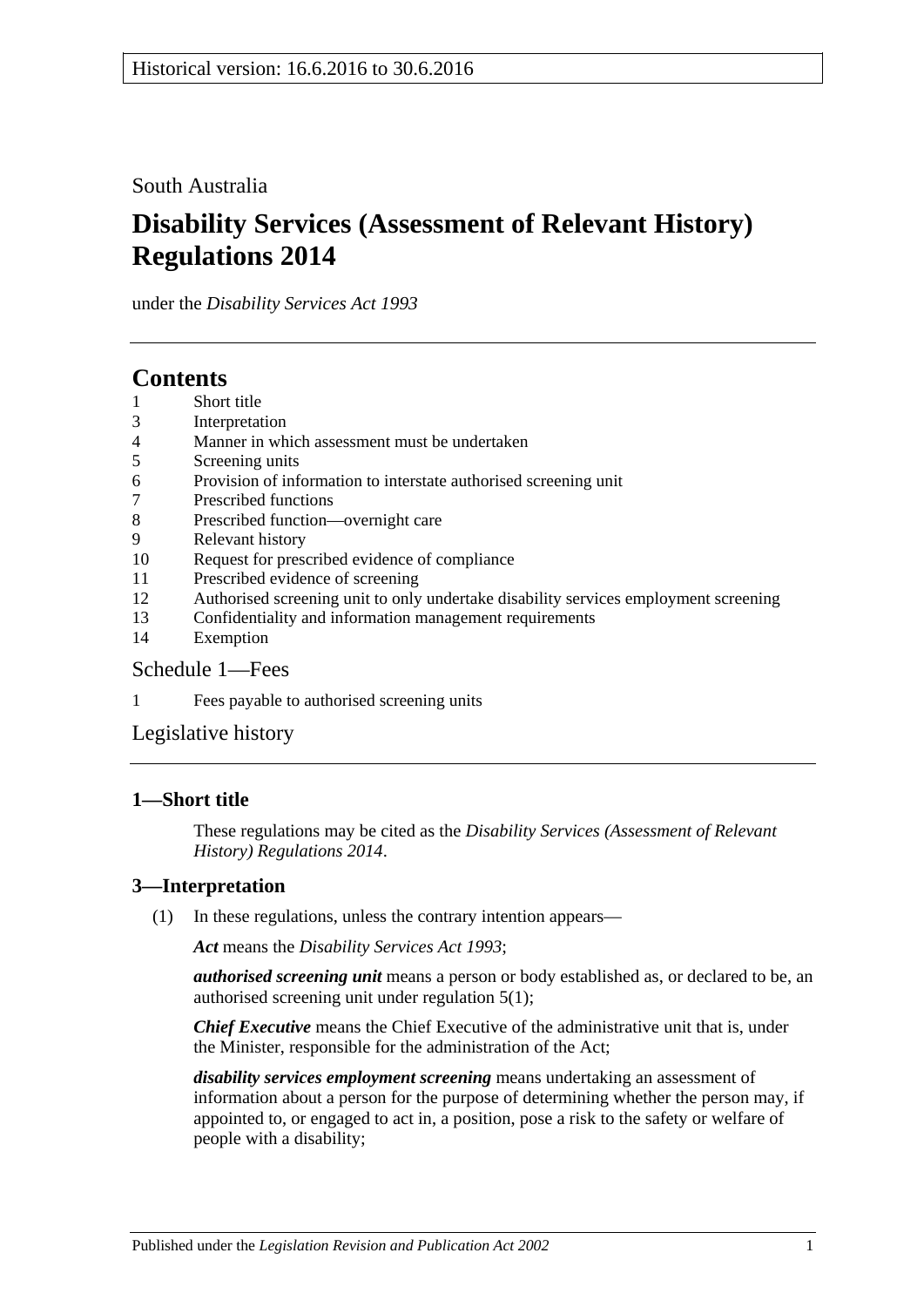South Australia

# **Disability Services (Assessment of Relevant History) Regulations 2014**

under the *Disability Services Act 1993*

## **Contents**

- 1 [Short title](#page-0-0)
- 3 [Interpretation](#page-0-1)
- 4 [Manner in which assessment must be undertaken](#page-1-0)
- 5 [Screening units](#page-1-1)
- 6 [Provision of information to interstate authorised screening unit](#page-1-2)
- 7 [Prescribed functions](#page-1-3)
- 8 [Prescribed function—overnight care](#page-2-0)
- 9 [Relevant history](#page-2-1)
- 10 [Request for prescribed evidence of compliance](#page-2-2)
- 11 [Prescribed evidence of screening](#page-3-0)
- 12 [Authorised screening unit to only undertake disability services employment screening](#page-3-1)
- 13 [Confidentiality and information management requirements](#page-3-2)
- 14 [Exemption](#page-4-0)

## [Schedule](#page-5-0) 1—Fees

1 Fees [payable to authorised screening units](#page-5-1)

[Legislative history](#page-6-0)

## <span id="page-0-0"></span>**1—Short title**

These regulations may be cited as the *Disability Services (Assessment of Relevant History) Regulations 2014*.

## <span id="page-0-1"></span>**3—Interpretation**

(1) In these regulations, unless the contrary intention appears—

*Act* means the *[Disability Services Act](http://www.legislation.sa.gov.au/index.aspx?action=legref&type=act&legtitle=Disability%20Services%20Act%201993) 1993*;

*authorised screening unit* means a person or body established as, or declared to be, an authorised screening unit under [regulation](#page-1-4) 5(1);

*Chief Executive* means the Chief Executive of the administrative unit that is, under the Minister, responsible for the administration of the Act;

*disability services employment screening* means undertaking an assessment of information about a person for the purpose of determining whether the person may, if appointed to, or engaged to act in, a position, pose a risk to the safety or welfare of people with a disability;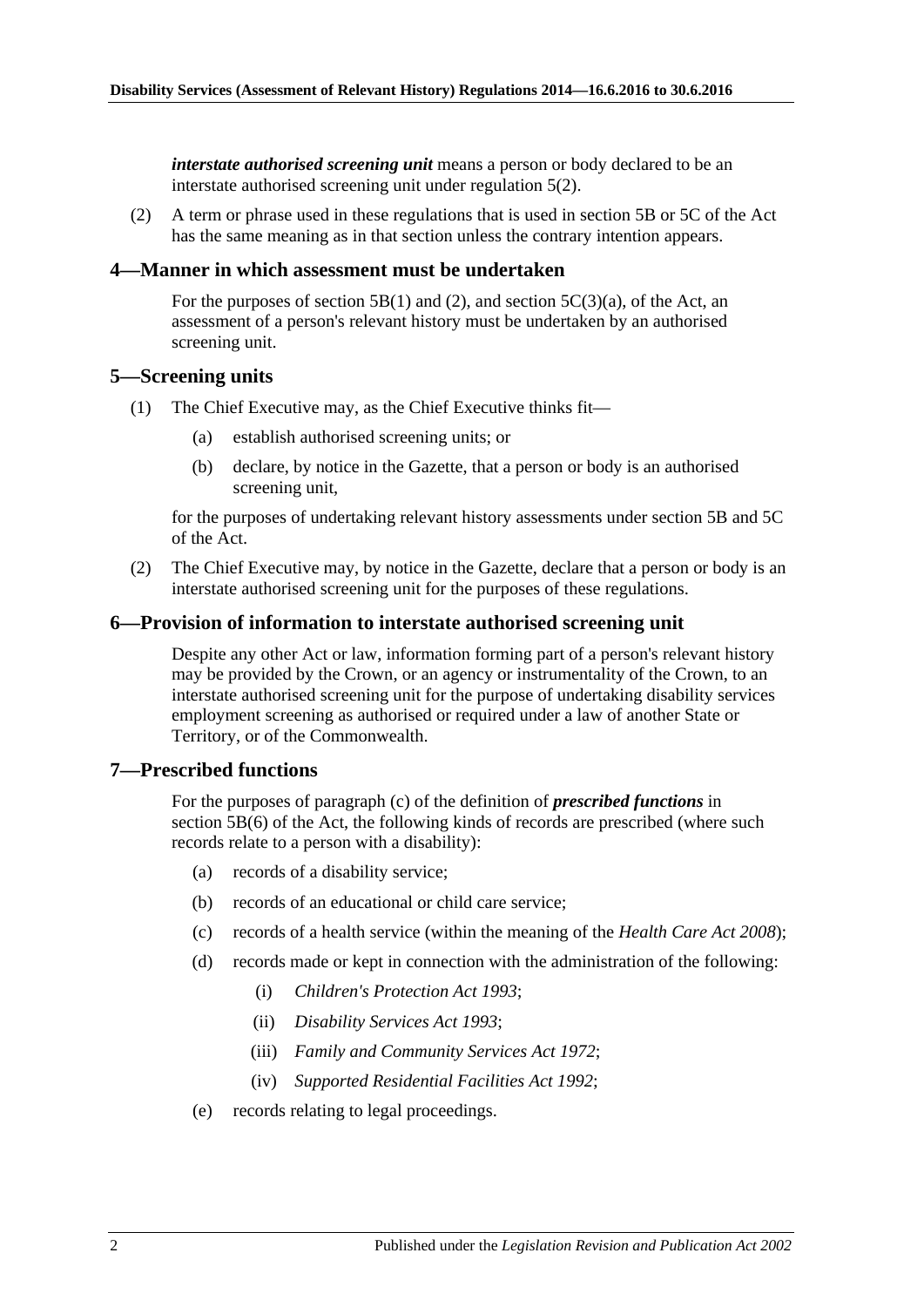*interstate authorised screening unit* means a person or body declared to be an interstate authorised screening unit under [regulation](#page-1-5) 5(2).

(2) A term or phrase used in these regulations that is used in section 5B or 5C of the Act has the same meaning as in that section unless the contrary intention appears.

#### <span id="page-1-0"></span>**4—Manner in which assessment must be undertaken**

For the purposes of section 5B(1) and (2), and section  $5C(3)(a)$ , of the Act, an assessment of a person's relevant history must be undertaken by an authorised screening unit.

#### <span id="page-1-4"></span><span id="page-1-1"></span>**5—Screening units**

- <span id="page-1-6"></span>(1) The Chief Executive may, as the Chief Executive thinks fit—
	- (a) establish authorised screening units; or
	- (b) declare, by notice in the Gazette, that a person or body is an authorised screening unit,

for the purposes of undertaking relevant history assessments under section 5B and 5C of the Act.

<span id="page-1-5"></span>(2) The Chief Executive may, by notice in the Gazette, declare that a person or body is an interstate authorised screening unit for the purposes of these regulations.

#### <span id="page-1-2"></span>**6—Provision of information to interstate authorised screening unit**

Despite any other Act or law, information forming part of a person's relevant history may be provided by the Crown, or an agency or instrumentality of the Crown, to an interstate authorised screening unit for the purpose of undertaking disability services employment screening as authorised or required under a law of another State or Territory, or of the Commonwealth.

#### <span id="page-1-3"></span>**7—Prescribed functions**

For the purposes of paragraph (c) of the definition of *prescribed functions* in section 5B(6) of the Act, the following kinds of records are prescribed (where such records relate to a person with a disability):

- (a) records of a disability service;
- (b) records of an educational or child care service;
- (c) records of a health service (within the meaning of the *[Health Care Act](http://www.legislation.sa.gov.au/index.aspx?action=legref&type=act&legtitle=Health%20Care%20Act%202008) 2008*);
- (d) records made or kept in connection with the administration of the following:
	- (i) *[Children's Protection Act](http://www.legislation.sa.gov.au/index.aspx?action=legref&type=act&legtitle=Childrens%20Protection%20Act%201993) 1993*;
	- (ii) *[Disability Services Act](http://www.legislation.sa.gov.au/index.aspx?action=legref&type=act&legtitle=Disability%20Services%20Act%201993) 1993*;
	- (iii) *[Family and Community Services Act](http://www.legislation.sa.gov.au/index.aspx?action=legref&type=act&legtitle=Family%20and%20Community%20Services%20Act%201972) 1972*;
	- (iv) *[Supported Residential Facilities Act](http://www.legislation.sa.gov.au/index.aspx?action=legref&type=act&legtitle=Supported%20Residential%20Facilities%20Act%201992) 1992*;
- (e) records relating to legal proceedings.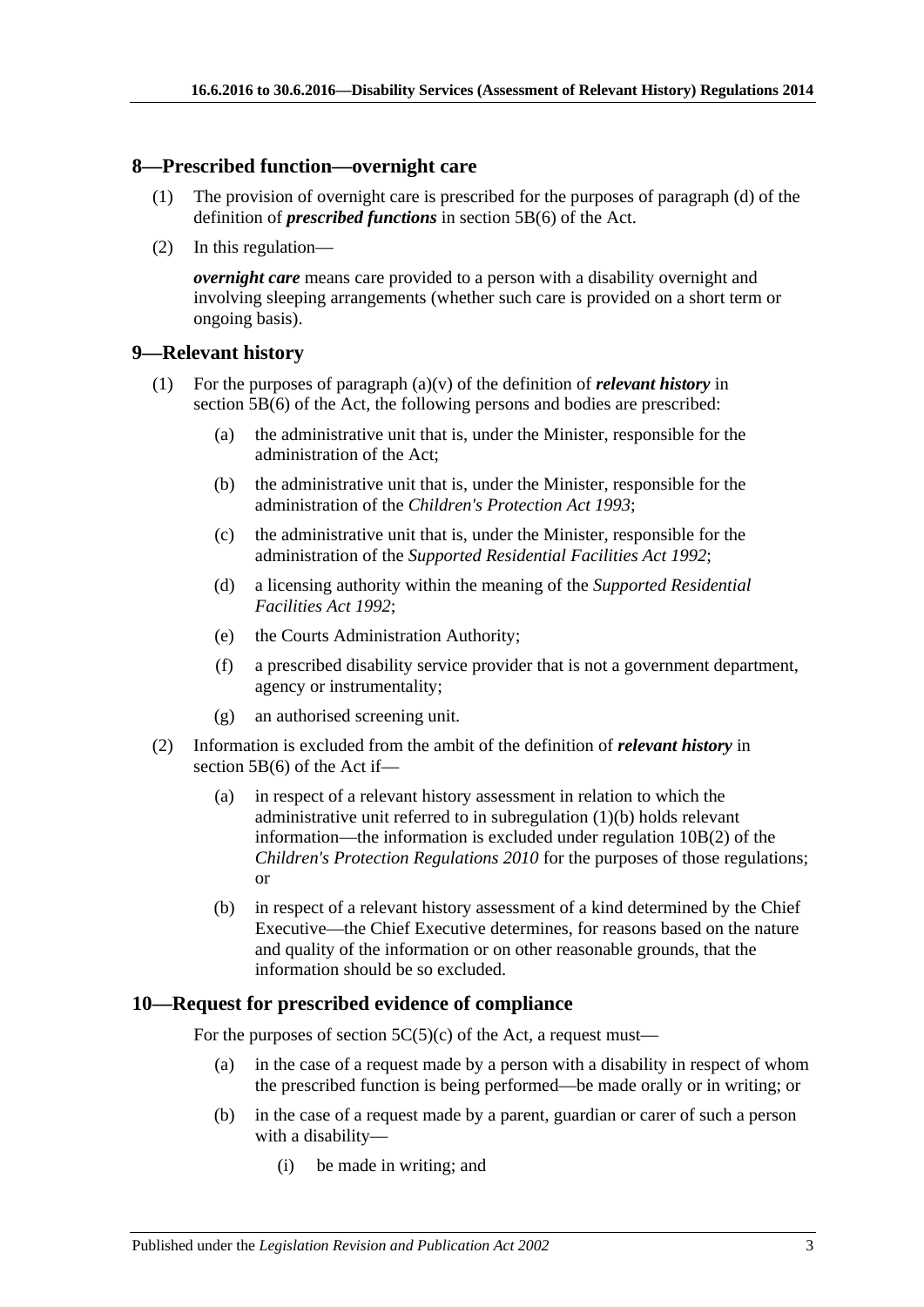#### <span id="page-2-0"></span>**8—Prescribed function—overnight care**

- (1) The provision of overnight care is prescribed for the purposes of paragraph (d) of the definition of *prescribed functions* in section 5B(6) of the Act.
- (2) In this regulation—

*overnight care* means care provided to a person with a disability overnight and involving sleeping arrangements (whether such care is provided on a short term or ongoing basis).

### <span id="page-2-1"></span>**9—Relevant history**

- <span id="page-2-3"></span>(1) For the purposes of paragraph (a)(v) of the definition of *relevant history* in section 5B(6) of the Act, the following persons and bodies are prescribed:
	- (a) the administrative unit that is, under the Minister, responsible for the administration of the Act;
	- (b) the administrative unit that is, under the Minister, responsible for the administration of the *[Children's Protection Act](http://www.legislation.sa.gov.au/index.aspx?action=legref&type=act&legtitle=Childrens%20Protection%20Act%201993) 1993*;
	- (c) the administrative unit that is, under the Minister, responsible for the administration of the *[Supported Residential Facilities Act](http://www.legislation.sa.gov.au/index.aspx?action=legref&type=act&legtitle=Supported%20Residential%20Facilities%20Act%201992) 1992*;
	- (d) a licensing authority within the meaning of the *[Supported Residential](http://www.legislation.sa.gov.au/index.aspx?action=legref&type=act&legtitle=Supported%20Residential%20Facilities%20Act%201992)  [Facilities Act](http://www.legislation.sa.gov.au/index.aspx?action=legref&type=act&legtitle=Supported%20Residential%20Facilities%20Act%201992) 1992*;
	- (e) the Courts Administration Authority;
	- (f) a prescribed disability service provider that is not a government department, agency or instrumentality;
	- (g) an authorised screening unit.
- (2) Information is excluded from the ambit of the definition of *relevant history* in section 5B(6) of the Act if—
	- (a) in respect of a relevant history assessment in relation to which the administrative unit referred to in [subregulation](#page-2-3) (1)(b) holds relevant information—the information is excluded under regulation 10B(2) of the *[Children's Protection Regulations](http://www.legislation.sa.gov.au/index.aspx?action=legref&type=subordleg&legtitle=Childrens%20Protection%20Regulations%202010) 2010* for the purposes of those regulations; or
	- (b) in respect of a relevant history assessment of a kind determined by the Chief Executive—the Chief Executive determines, for reasons based on the nature and quality of the information or on other reasonable grounds, that the information should be so excluded.

### <span id="page-2-2"></span>**10—Request for prescribed evidence of compliance**

For the purposes of section  $5C(5)(c)$  of the Act, a request must—

- (a) in the case of a request made by a person with a disability in respect of whom the prescribed function is being performed—be made orally or in writing; or
- (b) in the case of a request made by a parent, guardian or carer of such a person with a disability—
	- (i) be made in writing; and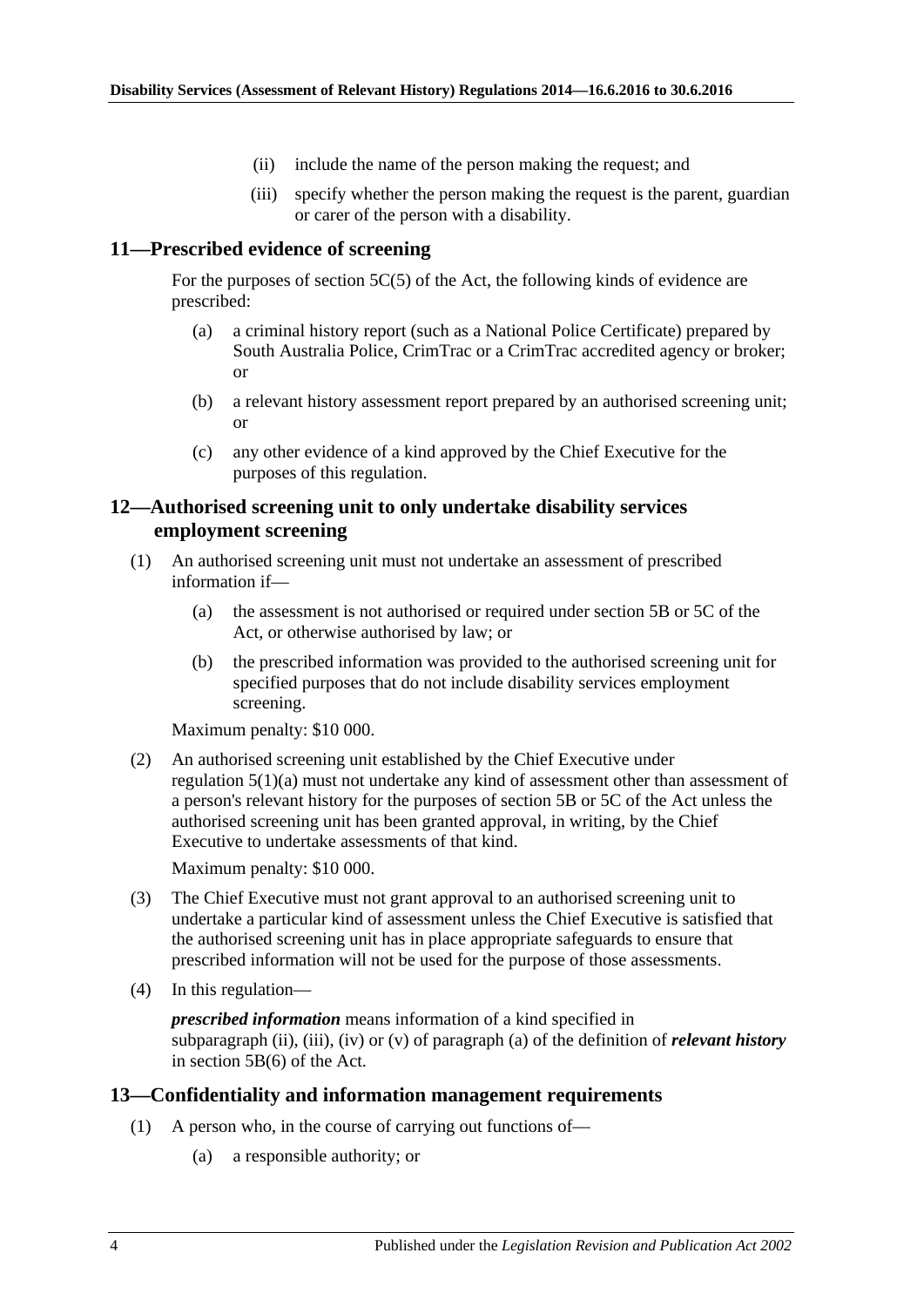- (ii) include the name of the person making the request; and
- (iii) specify whether the person making the request is the parent, guardian or carer of the person with a disability.

#### <span id="page-3-0"></span>**11—Prescribed evidence of screening**

For the purposes of section 5C(5) of the Act, the following kinds of evidence are prescribed:

- (a) a criminal history report (such as a National Police Certificate) prepared by South Australia Police, CrimTrac or a CrimTrac accredited agency or broker; or
- (b) a relevant history assessment report prepared by an authorised screening unit; or
- (c) any other evidence of a kind approved by the Chief Executive for the purposes of this regulation.

### <span id="page-3-1"></span>**12—Authorised screening unit to only undertake disability services employment screening**

- (1) An authorised screening unit must not undertake an assessment of prescribed information if—
	- (a) the assessment is not authorised or required under section 5B or 5C of the Act, or otherwise authorised by law; or
	- (b) the prescribed information was provided to the authorised screening unit for specified purposes that do not include disability services employment screening.

Maximum penalty: \$10 000.

(2) An authorised screening unit established by the Chief Executive under [regulation](#page-1-6) 5(1)(a) must not undertake any kind of assessment other than assessment of a person's relevant history for the purposes of section 5B or 5C of the Act unless the authorised screening unit has been granted approval, in writing, by the Chief Executive to undertake assessments of that kind.

Maximum penalty: \$10 000.

- (3) The Chief Executive must not grant approval to an authorised screening unit to undertake a particular kind of assessment unless the Chief Executive is satisfied that the authorised screening unit has in place appropriate safeguards to ensure that prescribed information will not be used for the purpose of those assessments.
- (4) In this regulation—

*prescribed information* means information of a kind specified in subparagraph (ii), (iii), (iv) or (v) of paragraph (a) of the definition of *relevant history* in section 5B(6) of the Act.

#### <span id="page-3-2"></span>**13—Confidentiality and information management requirements**

- (1) A person who, in the course of carrying out functions of—
	- (a) a responsible authority; or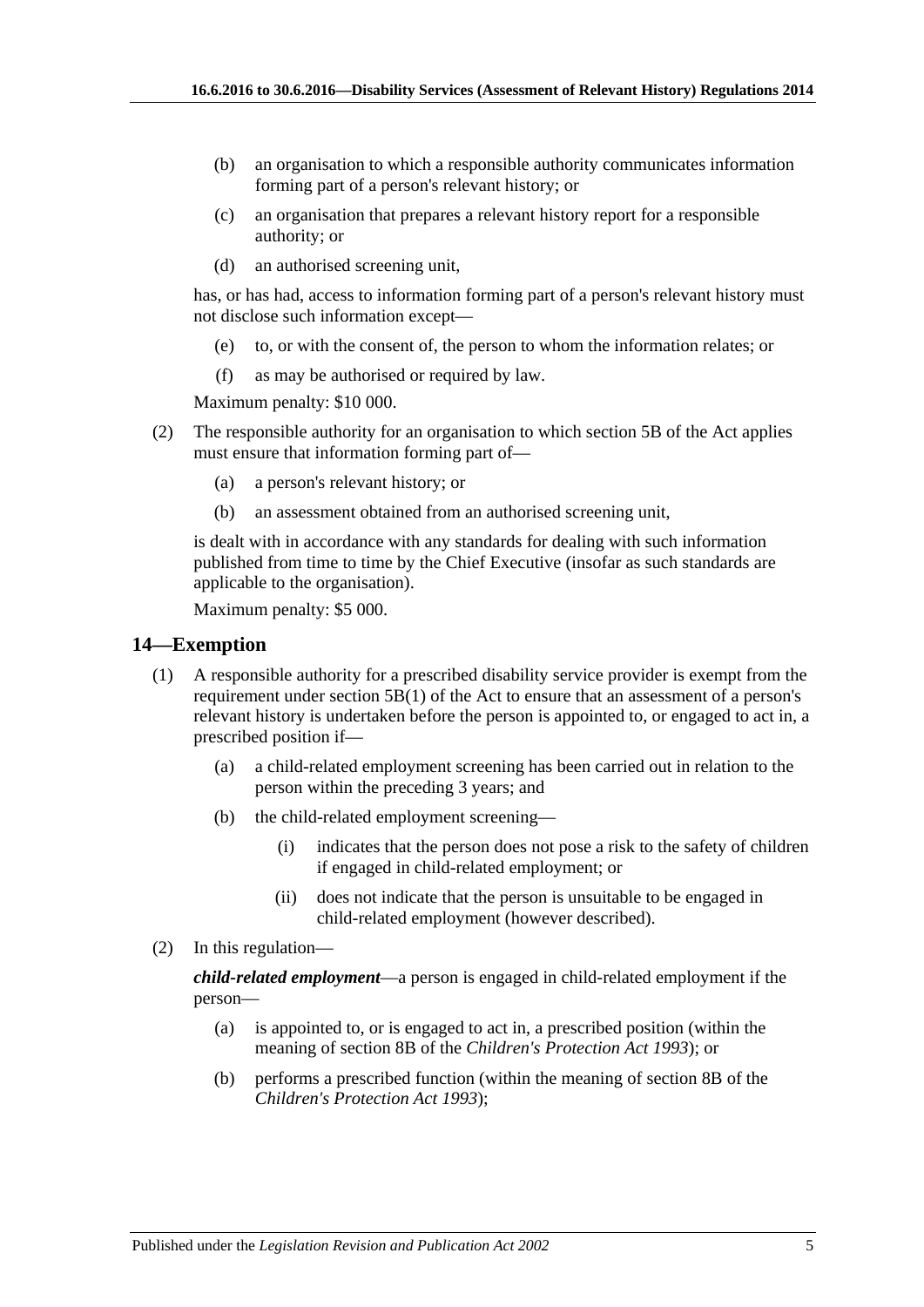- (b) an organisation to which a responsible authority communicates information forming part of a person's relevant history; or
- (c) an organisation that prepares a relevant history report for a responsible authority; or
- (d) an authorised screening unit,

has, or has had, access to information forming part of a person's relevant history must not disclose such information except—

- (e) to, or with the consent of, the person to whom the information relates; or
- (f) as may be authorised or required by law.

Maximum penalty: \$10 000.

- (2) The responsible authority for an organisation to which section 5B of the Act applies must ensure that information forming part of—
	- (a) a person's relevant history; or
	- (b) an assessment obtained from an authorised screening unit,

is dealt with in accordance with any standards for dealing with such information published from time to time by the Chief Executive (insofar as such standards are applicable to the organisation).

Maximum penalty: \$5 000.

#### <span id="page-4-0"></span>**14—Exemption**

- (1) A responsible authority for a prescribed disability service provider is exempt from the requirement under section 5B(1) of the Act to ensure that an assessment of a person's relevant history is undertaken before the person is appointed to, or engaged to act in, a prescribed position if—
	- (a) a child-related employment screening has been carried out in relation to the person within the preceding 3 years; and
	- (b) the child-related employment screening—
		- (i) indicates that the person does not pose a risk to the safety of children if engaged in child-related employment; or
		- (ii) does not indicate that the person is unsuitable to be engaged in child-related employment (however described).

#### (2) In this regulation—

*child-related employment*—a person is engaged in child-related employment if the person—

- (a) is appointed to, or is engaged to act in, a prescribed position (within the meaning of section 8B of the *[Children's Protection Act](http://www.legislation.sa.gov.au/index.aspx?action=legref&type=act&legtitle=Childrens%20Protection%20Act%201993) 1993*); or
- (b) performs a prescribed function (within the meaning of section 8B of the *[Children's Protection Act](http://www.legislation.sa.gov.au/index.aspx?action=legref&type=act&legtitle=Childrens%20Protection%20Act%201993) 1993*);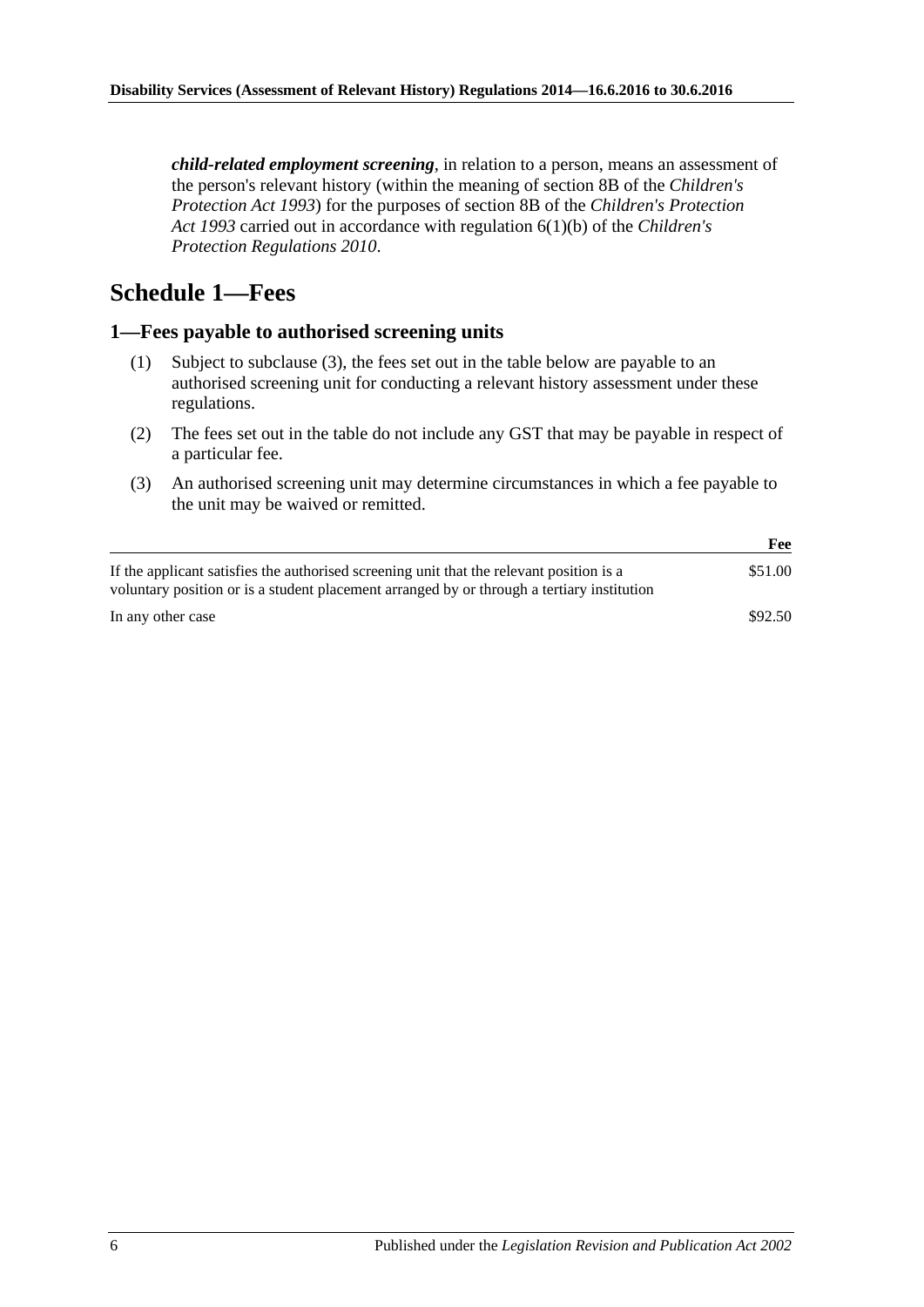*child-related employment screening*, in relation to a person, means an assessment of the person's relevant history (within the meaning of section 8B of the *[Children's](http://www.legislation.sa.gov.au/index.aspx?action=legref&type=act&legtitle=Childrens%20Protection%20Act%201993)  [Protection Act](http://www.legislation.sa.gov.au/index.aspx?action=legref&type=act&legtitle=Childrens%20Protection%20Act%201993) 1993*) for the purposes of section 8B of the *[Children's Protection](http://www.legislation.sa.gov.au/index.aspx?action=legref&type=act&legtitle=Childrens%20Protection%20Act%201993)  Act [1993](http://www.legislation.sa.gov.au/index.aspx?action=legref&type=act&legtitle=Childrens%20Protection%20Act%201993)* carried out in accordance with regulation 6(1)(b) of the *[Children's](http://www.legislation.sa.gov.au/index.aspx?action=legref&type=subordleg&legtitle=Childrens%20Protection%20Regulations%202010)  [Protection Regulations](http://www.legislation.sa.gov.au/index.aspx?action=legref&type=subordleg&legtitle=Childrens%20Protection%20Regulations%202010) 2010*.

## <span id="page-5-0"></span>**Schedule 1—Fees**

### <span id="page-5-1"></span>**1—Fees payable to authorised screening units**

- (1) Subject to [subclause](#page-5-2) (3), the fees set out in the table below are payable to an authorised screening unit for conducting a relevant history assessment under these regulations.
- (2) The fees set out in the table do not include any GST that may be payable in respect of a particular fee.
- <span id="page-5-2"></span>(3) An authorised screening unit may determine circumstances in which a fee payable to the unit may be waived or remitted.

|                                                                                                                                                                                        | Fee     |
|----------------------------------------------------------------------------------------------------------------------------------------------------------------------------------------|---------|
| If the applicant satisfies the authorised screening unit that the relevant position is a<br>voluntary position or is a student placement arranged by or through a tertiary institution | \$51.00 |
| In any other case                                                                                                                                                                      | \$92.50 |